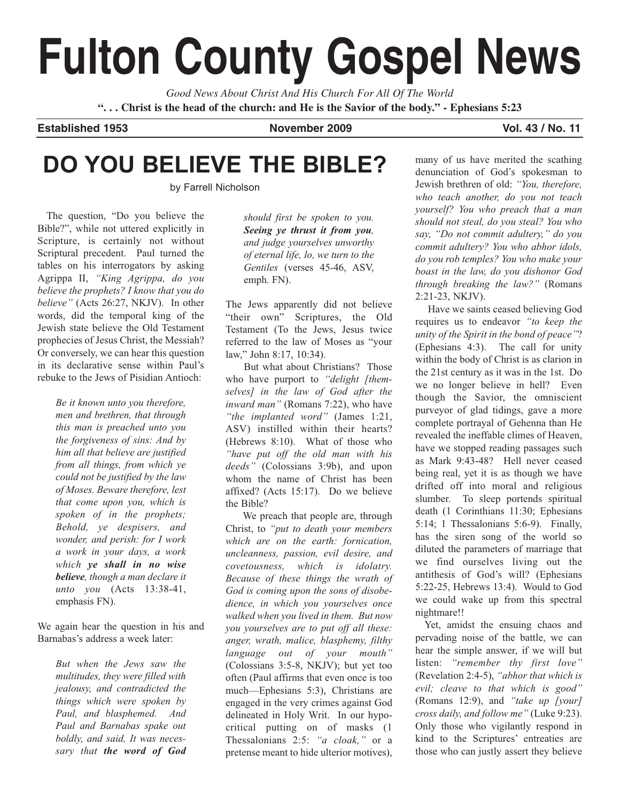# **Fulton County Gospel News**

*Good News About Christ And His Church For All Of The World* **". . . Christ is the head of the church: and He is the Savior of the body." - Ephesians 5:23**

**Established 1953 November 2009 Vol. 43 / No. 11**

# **DO YOU BELIEVE THE BIBLE?**

by Farrell Nicholson

The question, "Do you believe the Bible?", while not uttered explicitly in Scripture, is certainly not without Scriptural precedent. Paul turned the tables on his interrogators by asking Agrippa II, *"King Agrippa, do you believe the prophets? I know that you do believe"* (Acts 26:27, NKJV). In other words, did the temporal king of the Jewish state believe the Old Testament prophecies of Jesus Christ, the Messiah? Or conversely, we can hear this question in its declarative sense within Paul's rebuke to the Jews of Pisidian Antioch:

*Be it known unto you therefore, men and brethren, that through this man is preached unto you the forgiveness of sins: And by him all that believe are justified from all things, from which ye could not be justified by the law of Moses. Beware therefore, lest that come upon you, which is spoken of in the prophets; Behold, ye despisers, and wonder, and perish: for I work a work in your days, a work which ye shall in no wise believe, though a man declare it unto you* (Acts 13:38-41, emphasis FN).

We again hear the question in his and Barnabas's address a week later:

*But when the Jews saw the multitudes, they were filled with jealousy, and contradicted the things which were spoken by Paul, and blasphemed. And Paul and Barnabas spake out boldly, and said, It was necessary that the word of God* *should first be spoken to you. Seeing ye thrust it from you, and judge yourselves unworthy of eternal life, lo, we turn to the Gentiles* (verses 45-46, ASV, emph. FN).

The Jews apparently did not believe "their own" Scriptures, the Old Testament (To the Jews, Jesus twice referred to the law of Moses as "your law," John 8:17, 10:34).

But what about Christians? Those who have purport to *"delight [themselves] in the law of God after the inward man"* (Romans 7:22), who have *"the implanted word"* (James 1:21, ASV) instilled within their hearts? (Hebrews 8:10). What of those who *"have put off the old man with his deeds"* (Colossians 3:9b), and upon whom the name of Christ has been affixed? (Acts 15:17). Do we believe the Bible?

We preach that people are, through Christ, to *"put to death your members which are on the earth: fornication, uncleanness, passion, evil desire, and covetousness, which is idolatry. Because of these things the wrath of God is coming upon the sons of disobedience, in which you yourselves once walked when you lived in them. But now you yourselves are to put off all these: anger, wrath, malice, blasphemy, filthy language out of your mouth"* (Colossians 3:5-8, NKJV); but yet too often (Paul affirms that even once is too much—Ephesians 5:3), Christians are engaged in the very crimes against God delineated in Holy Writ. In our hypocritical putting on of masks (1 Thessalonians 2:5: *"a cloak,"* or a pretense meant to hide ulterior motives),

many of us have merited the scathing denunciation of God's spokesman to Jewish brethren of old: *"You, therefore, who teach another, do you not teach yourself? You who preach that a man should not steal, do you steal? You who say, "Do not commit adultery," do you commit adultery? You who abhor idols, do you rob temples? You who make your boast in the law, do you dishonor God through breaking the law?"* (Romans 2:21-23, NKJV).

Have we saints ceased believing God requires us to endeavor *"to keep the unity of the Spirit in the bond of peace"*? (Ephesians 4:3). The call for unity within the body of Christ is as clarion in the 21st century as it was in the 1st. Do we no longer believe in hell? Even though the Savior, the omniscient purveyor of glad tidings, gave a more complete portrayal of Gehenna than He revealed the ineffable climes of Heaven, have we stopped reading passages such as Mark 9:43-48? Hell never ceased being real, yet it is as though we have drifted off into moral and religious slumber. To sleep portends spiritual death (1 Corinthians 11:30; Ephesians 5:14; 1 Thessalonians 5:6-9). Finally, has the siren song of the world so diluted the parameters of marriage that we find ourselves living out the antithesis of God's will? (Ephesians 5:22-25, Hebrews 13:4). Would to God we could wake up from this spectral nightmare!!

Yet, amidst the ensuing chaos and pervading noise of the battle, we can hear the simple answer, if we will but listen: *"remember thy first love"* (Revelation 2:4-5), *"abhor that which is evil; cleave to that which is good"* (Romans 12:9), and *"take up [your] cross daily, and follow me"* (Luke 9:23). Only those who vigilantly respond in kind to the Scriptures' entreaties are those who can justly assert they believe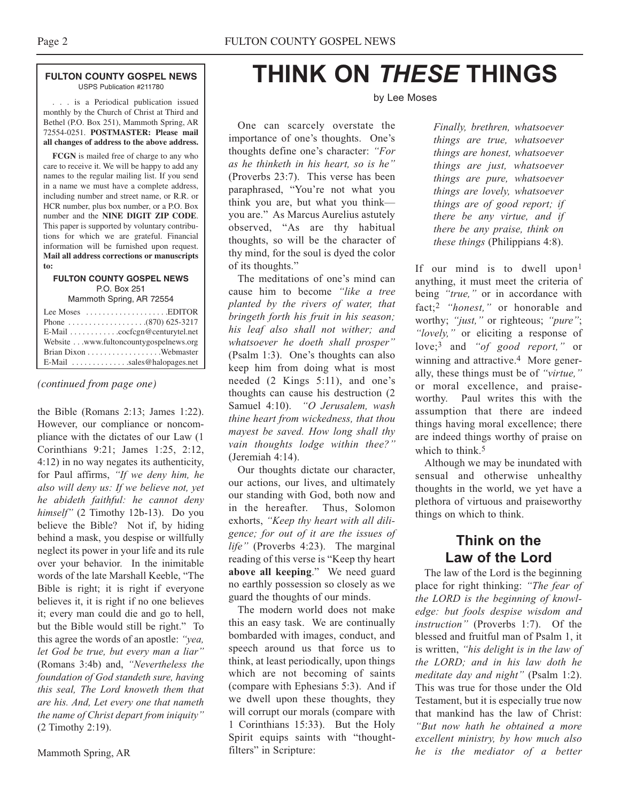. . . is a Periodical publication issued monthly by the Church of Christ at Third and Bethel (P.O. Box 251), Mammoth Spring, AR 72554-0251. **POSTMASTER: Please mail all changes of address to the above address.**

**FCGN** is mailed free of charge to any who care to receive it. We will be happy to add any names to the regular mailing list. If you send in a name we must have a complete address, including number and street name, or R.R. or HCR number, plus box number, or a P.O. Box number and the **NINE DIGIT ZIP CODE**. This paper is supported by voluntary contributions for which we are grateful. Financial information will be furnished upon request. **Mail all address corrections or manuscripts to:**

#### **FULTON COUNTY GOSPEL NEWS** P.O. Box 251

Mammoth Spring, AR 72554

| Lee Moses $\dots \dots \dots \dots \dots$ . EDITOR        |  |
|-----------------------------------------------------------|--|
|                                                           |  |
| $E$ -Mail $\ldots \ldots \ldots$ . cocfcgn@centurytel.net |  |
| Website www.fultoncountygospelnews.org                    |  |
|                                                           |  |
| $E$ -Mail $\ldots$ sales@halopages.net                    |  |

*(continued from page one)*

the Bible (Romans 2:13; James 1:22). However, our compliance or noncompliance with the dictates of our Law (1 Corinthians 9:21; James 1:25, 2:12, 4:12) in no way negates its authenticity, for Paul affirms, *"If we deny him, he also will deny us: If we believe not, yet he abideth faithful: he cannot deny himself"* (2 Timothy 12b-13). Do you believe the Bible? Not if, by hiding behind a mask, you despise or willfully neglect its power in your life and its rule over your behavior. In the inimitable words of the late Marshall Keeble, "The Bible is right; it is right if everyone believes it, it is right if no one believes it; every man could die and go to hell, but the Bible would still be right." To this agree the words of an apostle: *"yea, let God be true, but every man a liar"* (Romans 3:4b) and, *"Nevertheless the foundation of God standeth sure, having this seal, The Lord knoweth them that are his. And, Let every one that nameth the name of Christ depart from iniquity"* (2 Timothy 2:19).

Mammoth Spring, AR

# **THINK ON** *THESE* **THINGS**

#### by Lee Moses

One can scarcely overstate the importance of one's thoughts. One's thoughts define one's character: *"For as he thinketh in his heart, so is he"* (Proverbs 23:7). This verse has been paraphrased, "You're not what you think you are, but what you think you are." As Marcus Aurelius astutely observed, "As are thy habitual thoughts, so will be the character of thy mind, for the soul is dyed the color of its thoughts."

The meditations of one's mind can cause him to become *"like a tree planted by the rivers of water, that bringeth forth his fruit in his season; his leaf also shall not wither; and whatsoever he doeth shall prosper"* (Psalm 1:3). One's thoughts can also keep him from doing what is most needed (2 Kings 5:11), and one's thoughts can cause his destruction (2 Samuel 4:10). *"O Jerusalem, wash thine heart from wickedness, that thou mayest be saved. How long shall thy vain thoughts lodge within thee?"* (Jeremiah 4:14).

Our thoughts dictate our character, our actions, our lives, and ultimately our standing with God, both now and in the hereafter. Thus, Solomon exhorts, *"Keep thy heart with all diligence; for out of it are the issues of life"* (Proverbs 4:23). The marginal reading of this verse is "Keep thy heart **above all keeping**." We need guard no earthly possession so closely as we guard the thoughts of our minds.

The modern world does not make this an easy task. We are continually bombarded with images, conduct, and speech around us that force us to think, at least periodically, upon things which are not becoming of saints (compare with Ephesians 5:3). And if we dwell upon these thoughts, they will corrupt our morals (compare with 1 Corinthians 15:33). But the Holy Spirit equips saints with "thoughtfilters" in Scripture:

*Finally, brethren, whatsoever things are true, whatsoever things are honest, whatsoever things are just, whatsoever things are pure, whatsoever things are lovely, whatsoever things are of good report; if there be any virtue, and if there be any praise, think on these things* (Philippians 4:8).

If our mind is to dwell upon<sup>1</sup> anything, it must meet the criteria of being *"true,"* or in accordance with fact;2 *"honest,"* or honorable and worthy; *"just,"* or righteous; *"pure"*; *"lovely,"* or eliciting a response of love;3 and *"of good report,"* or winning and attractive.<sup>4</sup> More generally, these things must be of *"virtue,"* or moral excellence, and praiseworthy. Paul writes this with the assumption that there are indeed things having moral excellence; there are indeed things worthy of praise on which to think.<sup>5</sup>

Although we may be inundated with sensual and otherwise unhealthy thoughts in the world, we yet have a plethora of virtuous and praiseworthy things on which to think.

# **Think on the Law of the Lord**

The law of the Lord is the beginning place for right thinking: *"The fear of the LORD is the beginning of knowledge: but fools despise wisdom and instruction"* (Proverbs 1:7). Of the blessed and fruitful man of Psalm 1, it is written, *"his delight is in the law of the LORD; and in his law doth he meditate day and night"* (Psalm 1:2). This was true for those under the Old Testament, but it is especially true now that mankind has the law of Christ: *"But now hath he obtained a more excellent ministry, by how much also he is the mediator of a better*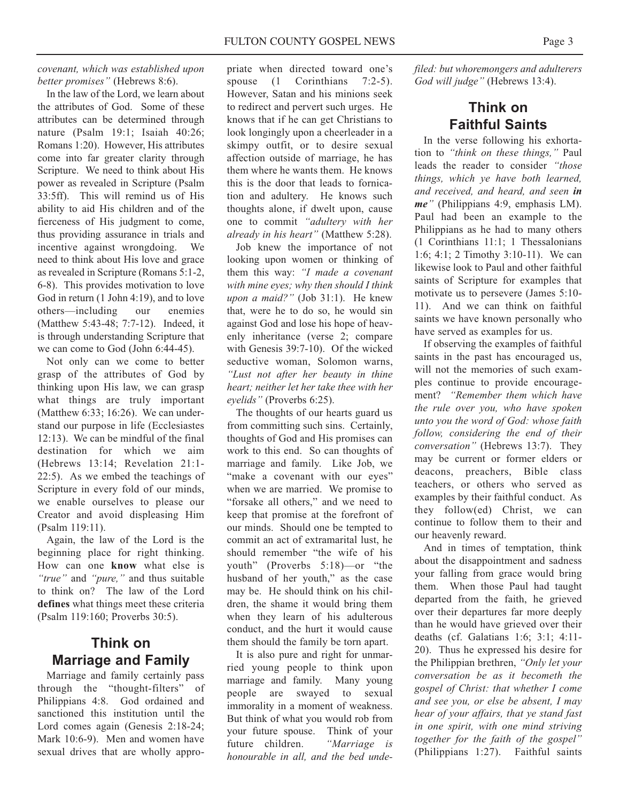#### *covenant, which was established upon better promises"* (Hebrews 8:6).

In the law of the Lord, we learn about the attributes of God. Some of these attributes can be determined through nature (Psalm 19:1; Isaiah 40:26; Romans 1:20). However, His attributes come into far greater clarity through Scripture. We need to think about His power as revealed in Scripture (Psalm 33:5ff). This will remind us of His ability to aid His children and of the fierceness of His judgment to come, thus providing assurance in trials and incentive against wrongdoing. We need to think about His love and grace as revealed in Scripture (Romans 5:1-2, 6-8). This provides motivation to love God in return (1 John 4:19), and to love others—including our enemies (Matthew 5:43-48; 7:7-12). Indeed, it is through understanding Scripture that we can come to God (John 6:44-45).

Not only can we come to better grasp of the attributes of God by thinking upon His law, we can grasp what things are truly important (Matthew 6:33; 16:26). We can understand our purpose in life (Ecclesiastes 12:13). We can be mindful of the final destination for which we aim (Hebrews 13:14; Revelation 21:1- 22:5). As we embed the teachings of Scripture in every fold of our minds, we enable ourselves to please our Creator and avoid displeasing Him (Psalm 119:11).

Again, the law of the Lord is the beginning place for right thinking. How can one **know** what else is *"true"* and *"pure,"* and thus suitable to think on? The law of the Lord **defines** what things meet these criteria (Psalm 119:160; Proverbs 30:5).

## **Think on Marriage and Family**

Marriage and family certainly pass through the "thought-filters" of Philippians 4:8. God ordained and sanctioned this institution until the Lord comes again (Genesis 2:18-24; Mark 10:6-9). Men and women have sexual drives that are wholly appropriate when directed toward one's spouse (1 Corinthians 7:2-5). However, Satan and his minions seek to redirect and pervert such urges. He knows that if he can get Christians to look longingly upon a cheerleader in a skimpy outfit, or to desire sexual affection outside of marriage, he has them where he wants them. He knows this is the door that leads to fornication and adultery. He knows such thoughts alone, if dwelt upon, cause one to commit *"adultery with her already in his heart"* (Matthew 5:28).

Job knew the importance of not looking upon women or thinking of them this way: *"I made a covenant with mine eyes; why then should I think upon a maid?"* (Job 31:1). He knew that, were he to do so, he would sin against God and lose his hope of heavenly inheritance (verse 2; compare with Genesis 39:7-10). Of the wicked seductive woman, Solomon warns, *"Lust not after her beauty in thine heart; neither let her take thee with her eyelids"* (Proverbs 6:25).

The thoughts of our hearts guard us from committing such sins. Certainly, thoughts of God and His promises can work to this end. So can thoughts of marriage and family. Like Job, we "make a covenant with our eyes" when we are married. We promise to "forsake all others," and we need to keep that promise at the forefront of our minds. Should one be tempted to commit an act of extramarital lust, he should remember "the wife of his youth" (Proverbs 5:18)—or "the husband of her youth," as the case may be. He should think on his children, the shame it would bring them when they learn of his adulterous conduct, and the hurt it would cause them should the family be torn apart.

It is also pure and right for unmarried young people to think upon marriage and family. Many young people are swayed to sexual immorality in a moment of weakness. But think of what you would rob from your future spouse. Think of your future children. *"Marriage is honourable in all, and the bed unde-* *filed: but whoremongers and adulterers God will judge"* (Hebrews 13:4).

# **Think on Faithful Saints**

In the verse following his exhortation to *"think on these things,"* Paul leads the reader to consider *"those things, which ye have both learned, and received, and heard, and seen in me"* (Philippians 4:9, emphasis LM). Paul had been an example to the Philippians as he had to many others (1 Corinthians 11:1; 1 Thessalonians 1:6; 4:1; 2 Timothy 3:10-11). We can likewise look to Paul and other faithful saints of Scripture for examples that motivate us to persevere (James 5:10- 11). And we can think on faithful saints we have known personally who have served as examples for us.

If observing the examples of faithful saints in the past has encouraged us, will not the memories of such examples continue to provide encouragement? *"Remember them which have the rule over you, who have spoken unto you the word of God: whose faith follow, considering the end of their conversation"* (Hebrews 13:7). They may be current or former elders or deacons, preachers, Bible class teachers, or others who served as examples by their faithful conduct. As they follow(ed) Christ, we can continue to follow them to their and our heavenly reward.

And in times of temptation, think about the disappointment and sadness your falling from grace would bring them. When those Paul had taught departed from the faith, he grieved over their departures far more deeply than he would have grieved over their deaths (cf. Galatians 1:6; 3:1; 4:11- 20). Thus he expressed his desire for the Philippian brethren, *"Only let your conversation be as it becometh the gospel of Christ: that whether I come and see you, or else be absent, I may hear of your affairs, that ye stand fast in one spirit, with one mind striving together for the faith of the gospel"* (Philippians 1:27). Faithful saints